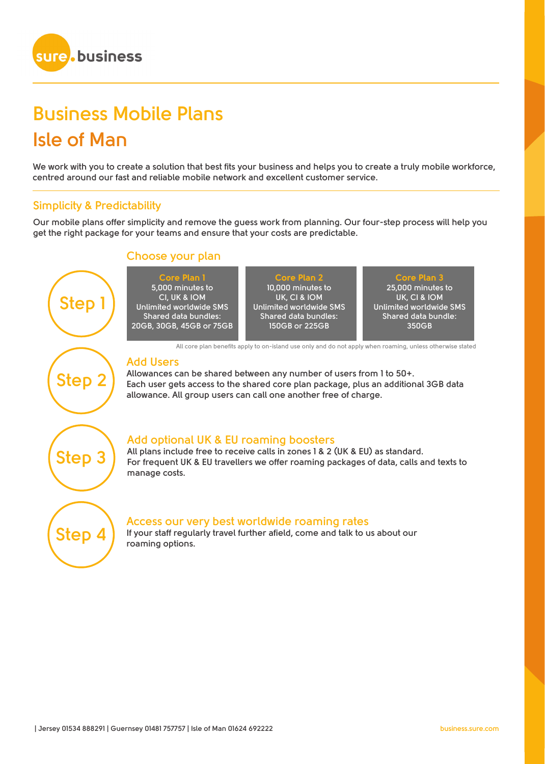

# **Business Mobile Plans Isle of Man**

**We work with you to create a solution that best fits your business and helps you to create a truly mobile workforce, centred around our fast and reliable mobile network and excellent customer service.**

# **Simplicity & Predictability**

**Our mobile plans offer simplicity and remove the guess work from planning. Our four-step process will help you get the right package for your teams and ensure that your costs are predictable.**